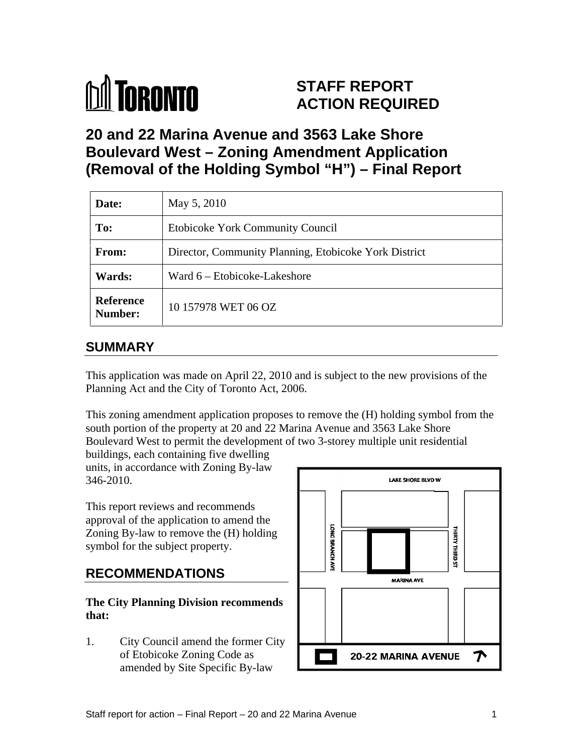

# **STAFF REPORT ACTION REQUIRED**

**20 and 22 Marina Avenue and 3563 Lake Shore Boulevard West – Zoning Amendment Application (Removal of the Holding Symbol "H") – Final Report** 

| Date:                | May 5, 2010                                           |
|----------------------|-------------------------------------------------------|
| <b>To:</b>           | Etobicoke York Community Council                      |
| From:                | Director, Community Planning, Etobicoke York District |
| <b>Wards:</b>        | Ward 6 – Etobicoke-Lakeshore                          |
| Reference<br>Number: | 10 157978 WET 06 OZ                                   |

# **SUMMARY**

This application was made on April 22, 2010 and is subject to the new provisions of the Planning Act and the City of Toronto Act, 2006.

This zoning amendment application proposes to remove the (H) holding symbol from the south portion of the property at 20 and 22 Marina Avenue and 3563 Lake Shore Boulevard West to permit the development of two 3-storey multiple unit residential

buildings, each containing five dwelling units, in accordance with Zoning By-law

This report reviews and recommends approval of the application to amend the<br>
Zoning By-law to remove the (H) holding<br>
symbol for the subject property. symbol for the subject property.

# **The City Planning Division recommends**

1. City Council amend the former City amended by Site Specific By-law

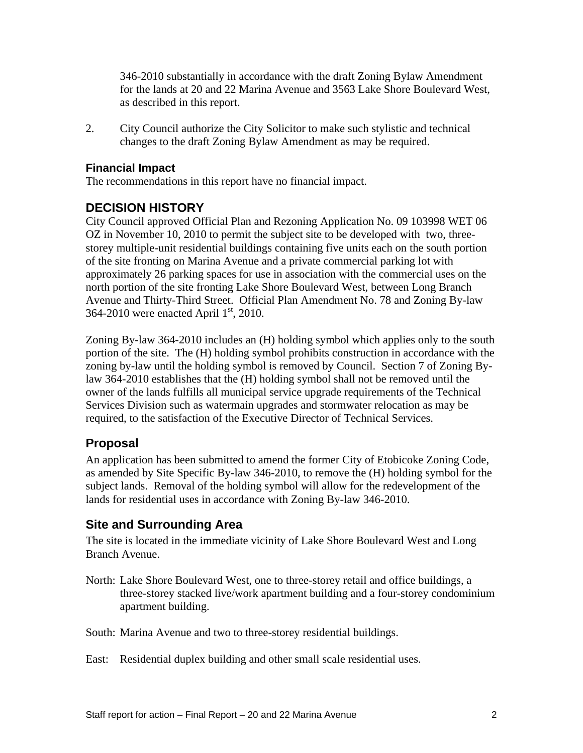346-2010 substantially in accordance with the draft Zoning Bylaw Amendment for the lands at 20 and 22 Marina Avenue and 3563 Lake Shore Boulevard West,

as described in this report. 2. City Council authorize the City Solicitor to make such stylistic and technical changes to the draft Zoning Bylaw Amendment as may be required.

#### **Financial Impact**

The recommendations in this report have no financial impact.

#### **DECISION HISTORY**

City Council approved Official Plan and Rezoning Application No. 09 103998 WET 06 OZ in November 10, 2010 to permit the subject site to be developed with two, three storey multiple-unit residential buildings containing five units each on the south portion of the site fronting on Marina Avenue and a private commercial parking lot with approximately 26 parking spaces for use in association with the commercial uses on the north portion of the site fronting Lake Shore Boulevard West, between Long Branch Avenue and Thirty-Third Street. Official Plan Amendment No. 78 and Zoning By-law 364-2010 were enacted April  $1<sup>st</sup>$ , 2010.

Zoning By-law 364-2010 includes an (H) holding symbol which applies only to the south portion of the site. The (H) holding symbol prohibits construction in accordance with the zoning by-law until the holding symbol is removed by Council. Section 7 of Zoning Bylaw 364-2010 establishes that the (H) holding symbol shall not be removed until the owner of the lands fulfills all municipal service upgrade requirements of the Technical Services Division such as watermain upgrades and stormwater relocation as may be required, to the satisfaction of the Executive Director of Technical Services.

#### **Proposal**

An application has been submitted to amend the former City of Etobicoke Zoning Code, as amended by Site Specific By-law 346-2010, to remove the (H) holding symbol for the subject lands. Removal of the holding symbol will allow for the redevelopment of the lands for residential uses in accordance with Zoning By-law 346-2010.

#### **Site and Surrounding Area**

The site is located in the immediate vicinity of Lake Shore Boulevard West and Long Branch Avenue.

North: Lake Shore Boulevard West, one to three-storey retail and office buildings, a three-storey stacked live/work apartment building and a four-storey condominium apartment building.

South: Marina Avenue and two to three-storey residential buildings.

East: Residential duplex building and other small scale residential uses.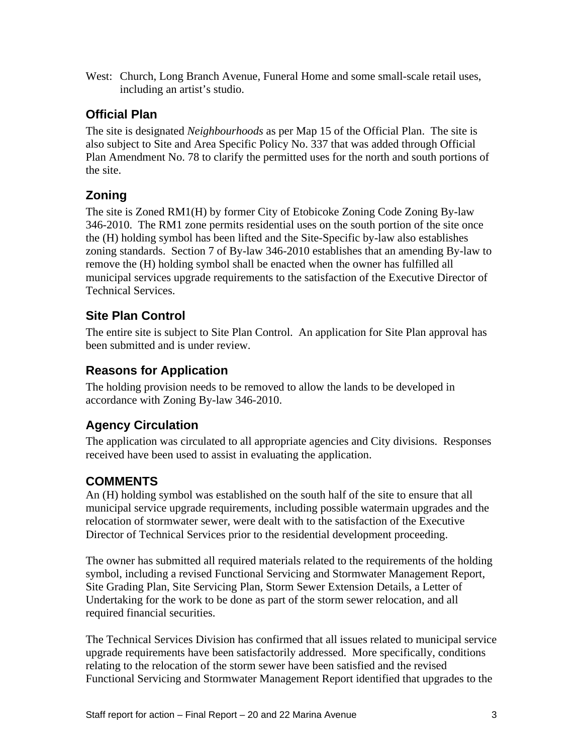West: Church, Long Branch Avenue, Funeral Home and some small-scale retail uses, including an artist's studio.

# **Official Plan**

The site is designated *Neighbourhoods* as per Map 15 of the Official Plan. The site is also subject to Site and Area Specific Policy No. 337 that was added through Official Plan Amendment No. 78 to clarify the permitted uses for the north and south portions of the site.

# **Zoning**

The site is Zoned RM1(H) by former City of Etobicoke Zoning Code Zoning By-law 346-2010. The RM1 zone permits residential uses on the south portion of the site once the (H) holding symbol has been lifted and the Site-Specific by-law also establishes zoning standards. Section 7 of By-law 346-2010 establishes that an amending By-law to remove the (H) holding symbol shall be enacted when the owner has fulfilled all municipal services upgrade requirements to the satisfaction of the Executive Director of Technical Services.

# **Site Plan Control**

The entire site is subject to Site Plan Control. An application for Site Plan approval has been submitted and is under review.

# **Reasons for Application**

The holding provision needs to be removed to allow the lands to be developed in accordance with Zoning By-law 346-2010.

# **Agency Circulation**

The application was circulated to all appropriate agencies and City divisions. Responses received have been used to assist in evaluating the application.

## **COMMENTS**

An (H) holding symbol was established on the south half of the site to ensure that all municipal service upgrade requirements, including possible watermain upgrades and the relocation of stormwater sewer, were dealt with to the satisfaction of the Executive Director of Technical Services prior to the residential development proceeding.

The owner has submitted all required materials related to the requirements of the holding symbol, including a revised Functional Servicing and Stormwater Management Report, Site Grading Plan, Site Servicing Plan, Storm Sewer Extension Details, a Letter of Undertaking for the work to be done as part of the storm sewer relocation, and all required financial securities.

The Technical Services Division has confirmed that all issues related to municipal service upgrade requirements have been satisfactorily addressed. More specifically, conditions relating to the relocation of the storm sewer have been satisfied and the revised Functional Servicing and Stormwater Management Report identified that upgrades to the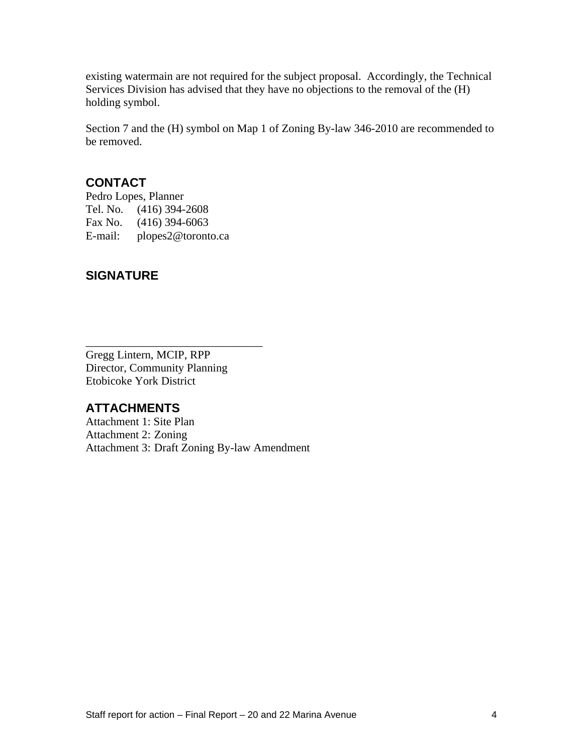existing watermain are not required for the subject proposal. Accordingly, the Technical Services Division has advised that they have no objections to the removal of the (H) holding symbol.

Section 7 and the (H) symbol on Map 1 of Zoning By-law 346-2010 are recommended to be removed.

#### **CONTACT**

Pedro Lopes, Planner Tel. No. (416) 394-2608 Fax No. (416) 394-6063 E-mail: plopes2@toronto.ca

## **SIGNATURE**

Gregg Lintern, MCIP, RPP Director, Community Planning Etobicoke York District

#### **ATTACHMENTS**

Attachment 1: Site Plan Attachment 2: Zoning Attachment 3: Draft Zoning By-law Amendment

 $\overline{\phantom{a}}$  , we can assume that the contract of  $\overline{\phantom{a}}$  , we can assume that the contract of  $\overline{\phantom{a}}$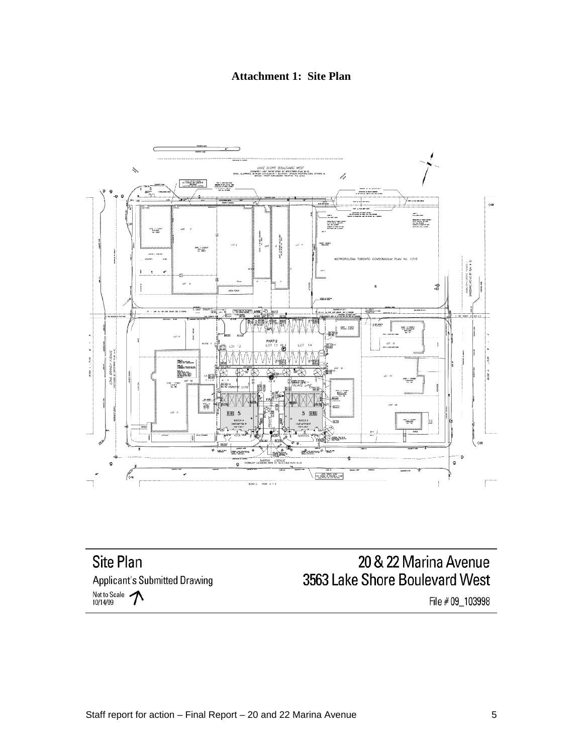**Attachment 1: Site Plan**



Site Plan **Applicant's Submitted Drawing** Not to Scale  $\bigwedge$ 

# 20 & 22 Marina Avenue 3563 Lake Shore Boulevard West

File # 09\_103998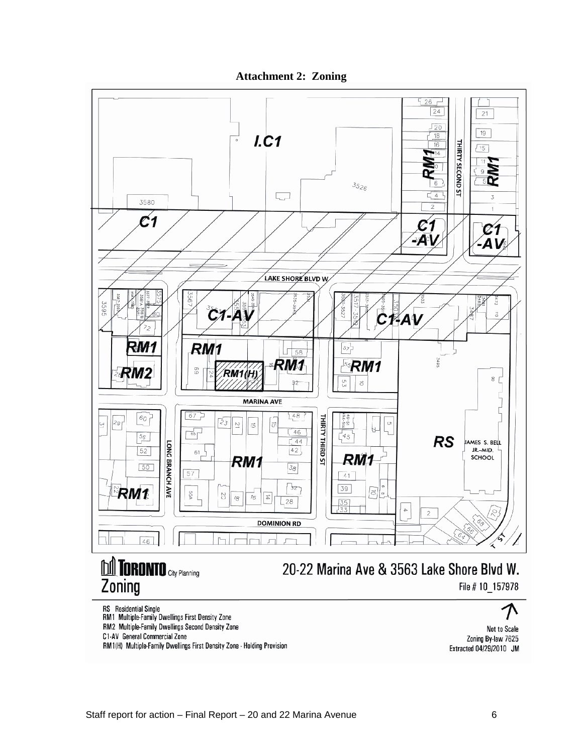**Attachment 2: Zoning**



RM2 Multiple-Family Dwellings Second Density Zone

C1-AV General Commercial Zone

RM1(H) Multiple-Family Dwellings First Density Zone - Holding Provision

Not to Scale Zoning By-law 7625 Extracted 04/29/2010 JM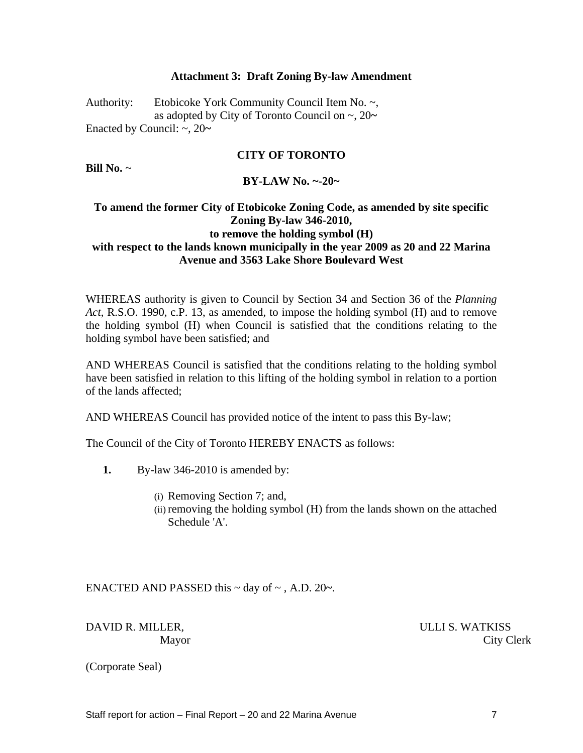#### **Attachment 3: Draft Zoning By-law Amendment**

Authority: Etobicoke York Community Council Item No. ~, as adopted by City of Toronto Council on ~, 20**~** Enacted by Council: ~, 20**~**

#### **CITY OF TORONTO**

**Bill No.** ~

**BY-LAW No. ~-20~**

#### **To amend the former City of Etobicoke Zoning Code, as amended by site specific Zoning By-law 346-2010, to remove the holding symbol (H) with respect to the lands known municipally in the year 2009 as 20 and 22 Marina Avenue and 3563 Lake Shore Boulevard West**

WHEREAS authority is given to Council by Section 34 and Section 36 of the *Planning Act*, R.S.O. 1990, c.P. 13, as amended, to impose the holding symbol (H) and to remove the holding symbol (H) when Council is satisfied that the conditions relating to the holding symbol have been satisfied; and

AND WHEREAS Council is satisfied that the conditions relating to the holding symbol have been satisfied in relation to this lifting of the holding symbol in relation to a portion of the lands affected;

AND WHEREAS Council has provided notice of the intent to pass this By-law;

The Council of the City of Toronto HEREBY ENACTS as follows:

- **1.** By-law 346-2010 is amended by:
	- (i) Removing Section 7; and,
	- (ii) removing the holding symbol (H) from the lands shown on the attached Schedule 'A'.

ENACTED AND PASSED this ~ day of ~ , A.D. 20**~**.

DAVID R. MILLER, SALLI S. WATKISS Mayor City Clerk

(Corporate Seal)